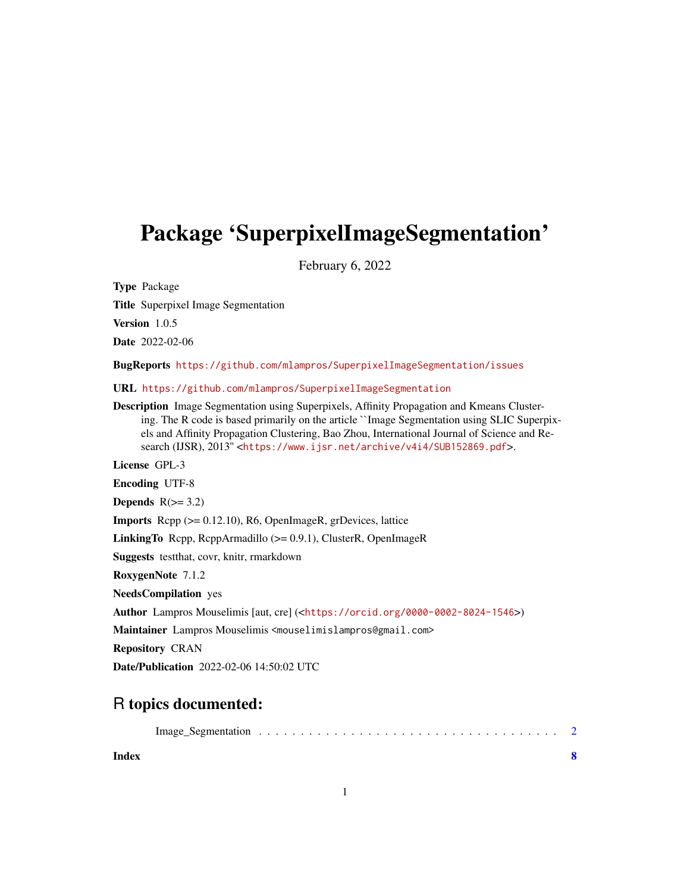## Package 'SuperpixelImageSegmentation'

February 6, 2022

Type Package

Title Superpixel Image Segmentation

Version 1.0.5

Date 2022-02-06

BugReports <https://github.com/mlampros/SuperpixelImageSegmentation/issues>

URL <https://github.com/mlampros/SuperpixelImageSegmentation>

Description Image Segmentation using Superpixels, Affinity Propagation and Kmeans Clustering. The R code is based primarily on the article ``Image Segmentation using SLIC Superpixels and Affinity Propagation Clustering, Bao Zhou, International Journal of Science and Research (IJSR), 2013'' <<https://www.ijsr.net/archive/v4i4/SUB152869.pdf>>.

License GPL-3

Encoding UTF-8

Depends  $R(>= 3.2)$ 

Imports Rcpp (>= 0.12.10), R6, OpenImageR, grDevices, lattice

LinkingTo Rcpp, RcppArmadillo (>= 0.9.1), ClusterR, OpenImageR

Suggests testthat, covr, knitr, rmarkdown

RoxygenNote 7.1.2

NeedsCompilation yes

Author Lampros Mouselimis [aut, cre] (<<https://orcid.org/0000-0002-8024-1546>>)

Maintainer Lampros Mouselimis <mouselimislampros@gmail.com>

Repository CRAN

Date/Publication 2022-02-06 14:50:02 UTC

### R topics documented:

**Index** [8](#page-7-0) **8**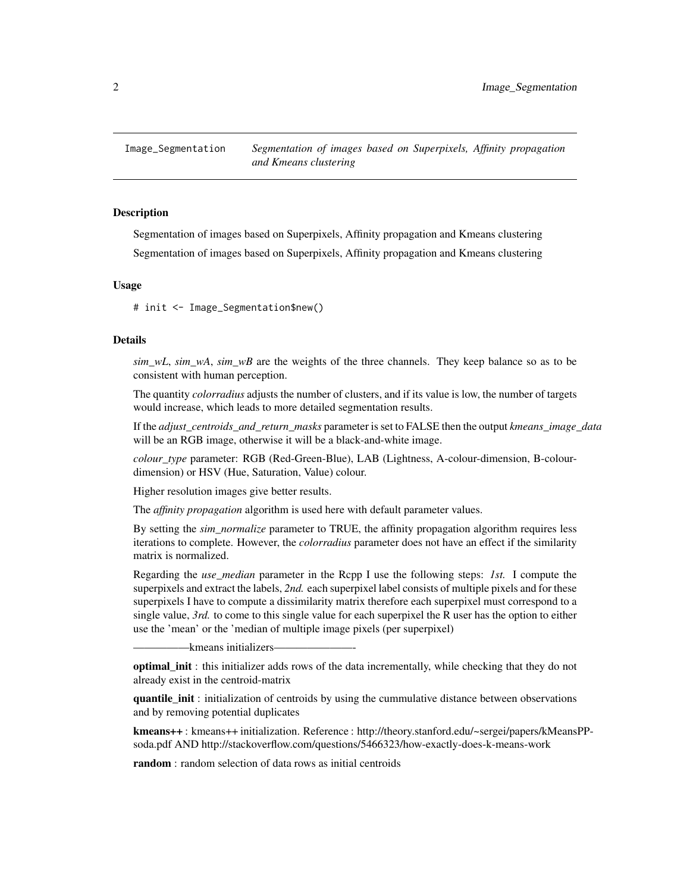<span id="page-1-0"></span>

#### Description

Segmentation of images based on Superpixels, Affinity propagation and Kmeans clustering Segmentation of images based on Superpixels, Affinity propagation and Kmeans clustering

#### Usage

# init <- Image\_Segmentation\$new()

#### Details

*sim wL*, *sim wA*, *sim wB* are the weights of the three channels. They keep balance so as to be consistent with human perception.

The quantity *colorradius* adjusts the number of clusters, and if its value is low, the number of targets would increase, which leads to more detailed segmentation results.

If the *adjust\_centroids\_and\_return\_masks* parameter is set to FALSE then the output *kmeans\_image\_data* will be an RGB image, otherwise it will be a black-and-white image.

*colour\_type* parameter: RGB (Red-Green-Blue), LAB (Lightness, A-colour-dimension, B-colourdimension) or HSV (Hue, Saturation, Value) colour.

Higher resolution images give better results.

The *affinity propagation* algorithm is used here with default parameter values.

By setting the *sim\_normalize* parameter to TRUE, the affinity propagation algorithm requires less iterations to complete. However, the *colorradius* parameter does not have an effect if the similarity matrix is normalized.

Regarding the *use\_median* parameter in the Rcpp I use the following steps: *1st.* I compute the superpixels and extract the labels, *2nd.* each superpixel label consists of multiple pixels and for these superpixels I have to compute a dissimilarity matrix therefore each superpixel must correspond to a single value, *3rd.* to come to this single value for each superpixel the R user has the option to either use the 'mean' or the 'median of multiple image pixels (per superpixel)

–kmeans initializers–

optimal init : this initializer adds rows of the data incrementally, while checking that they do not already exist in the centroid-matrix

quantile\_init : initialization of centroids by using the cummulative distance between observations and by removing potential duplicates

kmeans++ : kmeans++ initialization. Reference : http://theory.stanford.edu/~sergei/papers/kMeansPPsoda.pdf AND http://stackoverflow.com/questions/5466323/how-exactly-does-k-means-work

random : random selection of data rows as initial centroids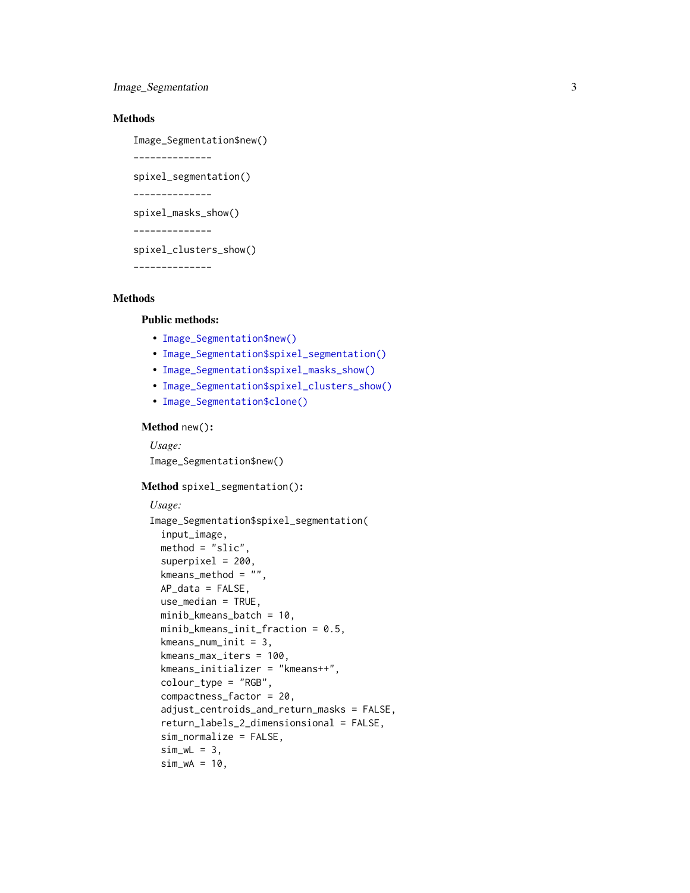Image\_Segmentation 3

#### Methods

Image\_Segmentation\$new()

```
--------------
```
spixel\_segmentation()

--------------

spixel\_masks\_show()

--------------

spixel\_clusters\_show()

--------------

#### Methods

#### Public methods:

- [Image\\_Segmentation\\$new\(\)](#page-2-0)
- [Image\\_Segmentation\\$spixel\\_segmentation\(\)](#page-2-1)
- [Image\\_Segmentation\\$spixel\\_masks\\_show\(\)](#page-4-0)
- [Image\\_Segmentation\\$spixel\\_clusters\\_show\(\)](#page-4-1)
- [Image\\_Segmentation\\$clone\(\)](#page-4-2)

#### <span id="page-2-0"></span>Method new():

*Usage:* Image\_Segmentation\$new()

#### <span id="page-2-1"></span>Method spixel\_segmentation():

```
Usage:
Image_Segmentation$spixel_segmentation(
  input_image,
 method = "slic",superpixel = 200,
  kmeans_method = "",
 AP_data = FALSE,
 use_median = TRUE,
 minib_kmeans_batch = 10,
 minib_kmeans_init_fraction = 0.5,
  kmeans_num_init = 3,
  kmeans_max_iters = 100,
  kmeans_initializer = "kmeans++",
  colour_type = "RGB",
  compactness_factor = 20,
  adjust_centroids_and_return_masks = FALSE,
  return_labels_2_dimensionsional = FALSE,
  sim_normalize = FALSE,
  sim_wL = 3,
  sim_wA = 10,
```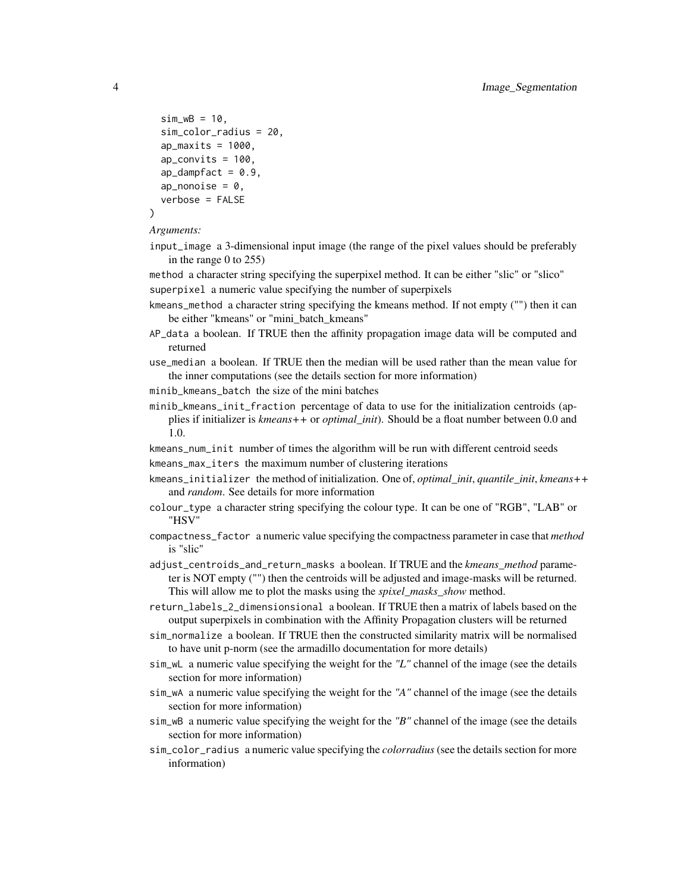```
sim_wB = 10.
  sim_color_radius = 20,
  ap_maxits = 1000,
  ap_{\text{convits}} = 100,
  ap\_dampfact = 0.9,
  ap\_nonoise = 0,
  verbose = FALSE
)
```
#### *Arguments:*

input\_image a 3-dimensional input image (the range of the pixel values should be preferably in the range 0 to 255)

method a character string specifying the superpixel method. It can be either "slic" or "slico" superpixel a numeric value specifying the number of superpixels

- kmeans\_method a character string specifying the kmeans method. If not empty ("") then it can be either "kmeans" or "mini\_batch\_kmeans"
- AP\_data a boolean. If TRUE then the affinity propagation image data will be computed and returned

use\_median a boolean. If TRUE then the median will be used rather than the mean value for the inner computations (see the details section for more information)

- minib\_kmeans\_batch the size of the mini batches
- minib\_kmeans\_init\_fraction percentage of data to use for the initialization centroids (applies if initializer is *kmeans++* or *optimal\_init*). Should be a float number between 0.0 and 1.0.

kmeans\_num\_init number of times the algorithm will be run with different centroid seeds

- kmeans\_max\_iters the maximum number of clustering iterations
- kmeans\_initializer the method of initialization. One of, *optimal\_init*, *quantile\_init*, *kmeans++* and *random*. See details for more information
- colour\_type a character string specifying the colour type. It can be one of "RGB", "LAB" or "HSV"
- compactness\_factor a numeric value specifying the compactness parameter in case that *method* is "slic"
- adjust\_centroids\_and\_return\_masks a boolean. If TRUE and the *kmeans\_method* parameter is NOT empty ("") then the centroids will be adjusted and image-masks will be returned. This will allow me to plot the masks using the *spixel\_masks\_show* method.
- return\_labels\_2\_dimensionsional a boolean. If TRUE then a matrix of labels based on the output superpixels in combination with the Affinity Propagation clusters will be returned
- sim\_normalize a boolean. If TRUE then the constructed similarity matrix will be normalised to have unit p-norm (see the armadillo documentation for more details)
- sim\_wL a numeric value specifying the weight for the *"L"* channel of the image (see the details section for more information)
- sim\_wA a numeric value specifying the weight for the *"A"* channel of the image (see the details section for more information)
- sim\_wB a numeric value specifying the weight for the *"B"* channel of the image (see the details section for more information)
- sim\_color\_radius a numeric value specifying the *colorradius* (see the details section for more information)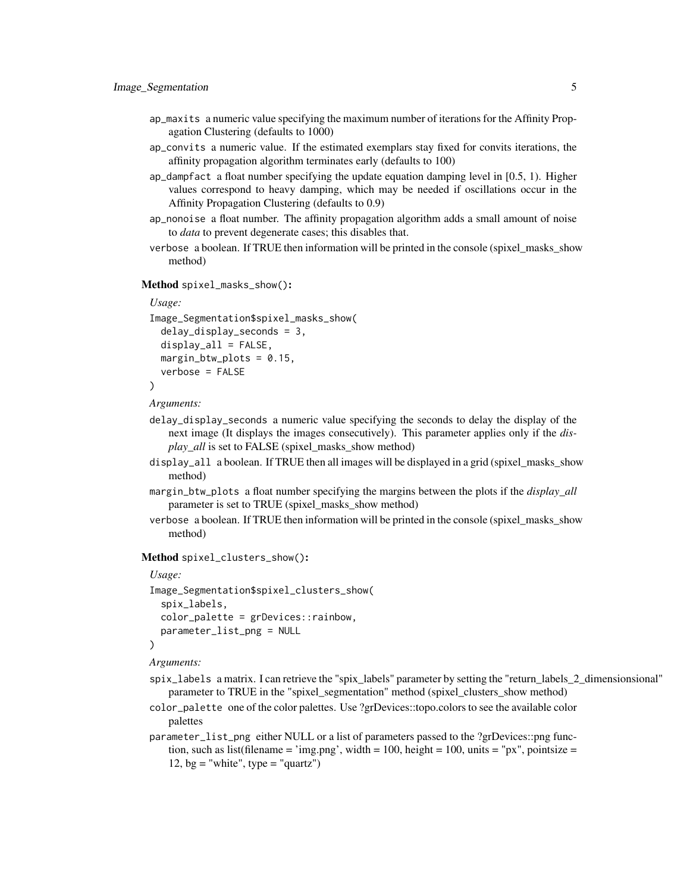- ap\_maxits a numeric value specifying the maximum number of iterations for the Affinity Propagation Clustering (defaults to 1000)
- ap\_convits a numeric value. If the estimated exemplars stay fixed for convits iterations, the affinity propagation algorithm terminates early (defaults to 100)
- ap\_dampfact a float number specifying the update equation damping level in [0.5, 1). Higher values correspond to heavy damping, which may be needed if oscillations occur in the Affinity Propagation Clustering (defaults to 0.9)
- ap\_nonoise a float number. The affinity propagation algorithm adds a small amount of noise to *data* to prevent degenerate cases; this disables that.
- verbose a boolean. If TRUE then information will be printed in the console (spixel\_masks\_show method)

<span id="page-4-0"></span>Method spixel\_masks\_show():

```
Usage:
Image_Segmentation$spixel_masks_show(
 delay_display_seconds = 3,
 display_a11 = FALSE,margin_btw_plots = 0.15,
  verbose = FALSE
)
```

```
Arguments:
```
- delay\_display\_seconds a numeric value specifying the seconds to delay the display of the next image (It displays the images consecutively). This parameter applies only if the *display\_all* is set to FALSE (spixel\_masks\_show method)
- display\_all a boolean. If TRUE then all images will be displayed in a grid (spixel\_masks\_show method)
- margin\_btw\_plots a float number specifying the margins between the plots if the *display\_all* parameter is set to TRUE (spixel\_masks\_show method)
- verbose a boolean. If TRUE then information will be printed in the console (spixel\_masks\_show method)

<span id="page-4-1"></span>Method spixel\_clusters\_show():

```
Usage:
Image_Segmentation$spixel_clusters_show(
  spix_labels,
  color_palette = grDevices::rainbow,
  parameter_list_png = NULL
)
```
*Arguments:*

- spix\_labels a matrix. I can retrieve the "spix\_labels" parameter by setting the "return\_labels\_2\_dimensionsional" parameter to TRUE in the "spixel\_segmentation" method (spixel\_clusters\_show method)
- color\_palette one of the color palettes. Use ?grDevices::topo.colors to see the available color palettes
- <span id="page-4-2"></span>parameter\_list\_png either NULL or a list of parameters passed to the ?grDevices::png function, such as list(filename = 'img.png', width = 100, height = 100, units = "px", pointsize = 12, bg = "white", type = "quartz")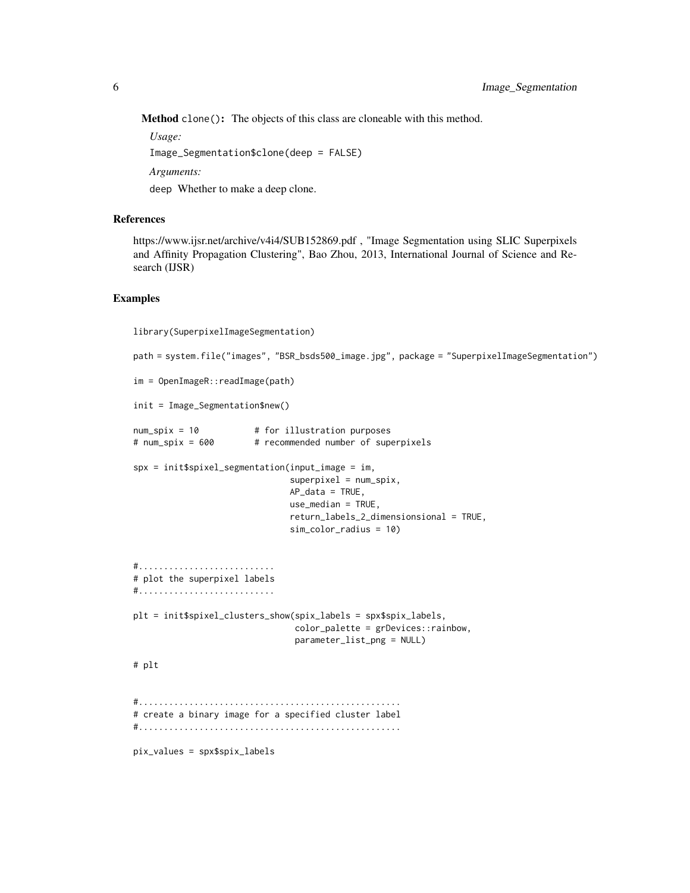Method clone(): The objects of this class are cloneable with this method.

*Usage:*

Image\_Segmentation\$clone(deep = FALSE)

*Arguments:*

deep Whether to make a deep clone.

#### References

https://www.ijsr.net/archive/v4i4/SUB152869.pdf , "Image Segmentation using SLIC Superpixels and Affinity Propagation Clustering", Bao Zhou, 2013, International Journal of Science and Research (IJSR)

#### Examples

library(SuperpixelImageSegmentation)

```
path = system.file("images", "BSR_bsds500_image.jpg", package = "SuperpixelImageSegmentation")
im = OpenImageR::readImage(path)
init = Image_Segmentation$new()
num_spix = 10 # for illustration purposes
# num_spix = 600 # recommended number of superpixels
spx = init$spixel_segmentation(input_image = im,
                               superscript{1} = num_spix,
                              AP_data = TRUE,
                              use_median = TRUE,
                               return_labels_2_dimensionsional = TRUE,
                               sim_color_radius = 10)
#...........................
# plot the superpixel labels
#...........................
plt = init$spixel_clusters_show(spix_labels = spx$spix_labels,
                               color_palette = grDevices::rainbow,
                               parameter_list_png = NULL)
# plt
#....................................................
# create a binary image for a specified cluster label
#....................................................
pix_values = spx$spix_labels
```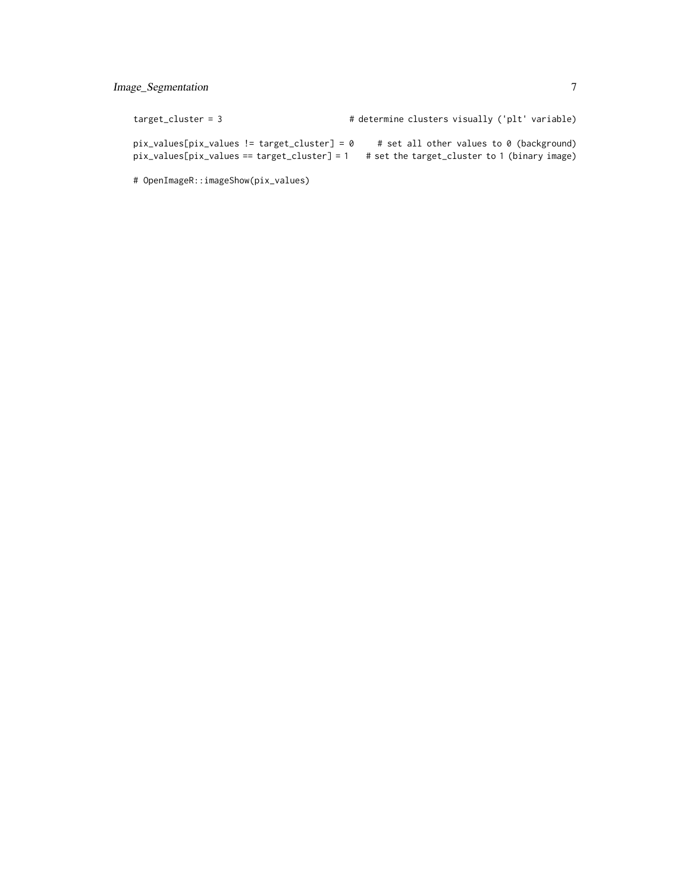#### Image\_Segmentation 7

| target cluster = 3                               | # determine clusters visually ('plt' variable) |
|--------------------------------------------------|------------------------------------------------|
| $pix_value s[pix_value s != target_cluster] = 0$ | # set all other values to 0 (background)       |
| $pix_value$ s[pix_values == target_cluster] = 1  | # set the target_cluster to 1 (binary image)   |

# OpenImageR::imageShow(pix\_values)